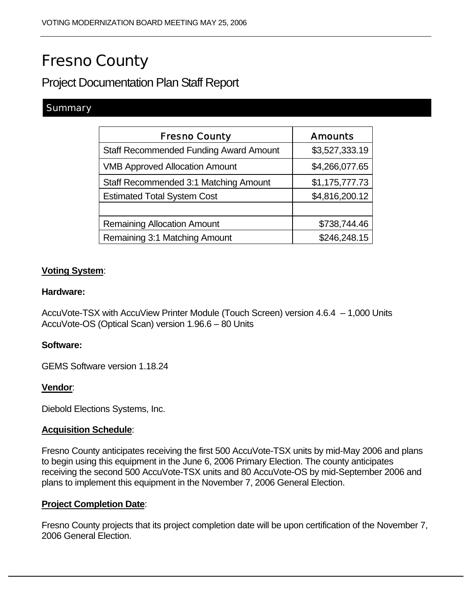# Fresno County

# Project Documentation Plan Staff Report

# **Summary**

| <b>Fresno County</b>                          | <b>Amounts</b> |
|-----------------------------------------------|----------------|
| <b>Staff Recommended Funding Award Amount</b> | \$3,527,333.19 |
| <b>VMB Approved Allocation Amount</b>         | \$4,266,077.65 |
| Staff Recommended 3:1 Matching Amount         | \$1,175,777.73 |
| <b>Estimated Total System Cost</b>            | \$4,816,200.12 |
|                                               |                |
| <b>Remaining Allocation Amount</b>            | \$738,744.46   |
| Remaining 3:1 Matching Amount                 | \$246,248.15   |

### **Voting System**:

#### **Hardware:**

AccuVote-TSX with AccuView Printer Module (Touch Screen) version 4.6.4 – 1,000 Units AccuVote-OS (Optical Scan) version 1.96.6 – 80 Units

#### **Software:**

GEMS Software version 1.18.24

#### **Vendor**:

Diebold Elections Systems, Inc.

#### **Acquisition Schedule**:

Fresno County anticipates receiving the first 500 AccuVote-TSX units by mid-May 2006 and plans to begin using this equipment in the June 6, 2006 Primary Election. The county anticipates receiving the second 500 AccuVote-TSX units and 80 AccuVote-OS by mid-September 2006 and plans to implement this equipment in the November 7, 2006 General Election.

#### **Project Completion Date**:

Fresno County projects that its project completion date will be upon certification of the November 7, 2006 General Election.